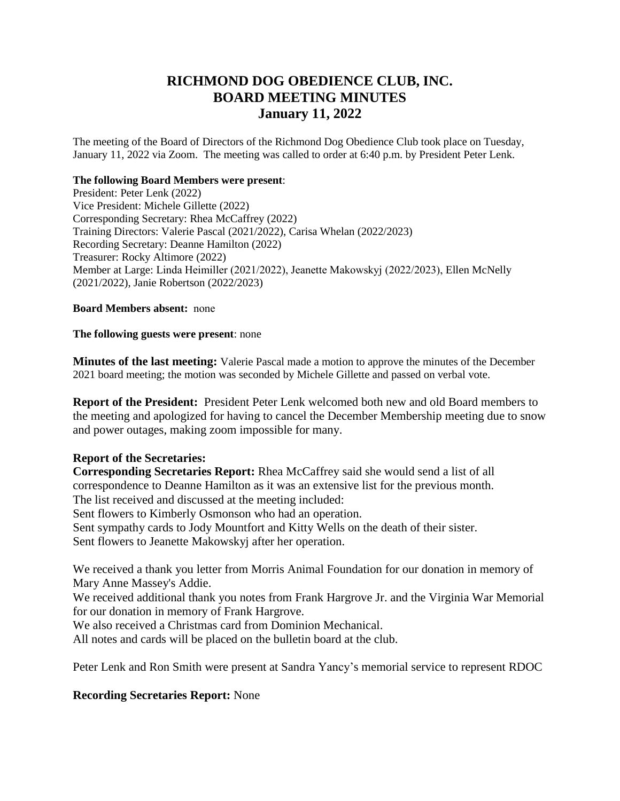# **RICHMOND DOG OBEDIENCE CLUB, INC. BOARD MEETING MINUTES January 11, 2022**

The meeting of the Board of Directors of the Richmond Dog Obedience Club took place on Tuesday, January 11, 2022 via Zoom. The meeting was called to order at 6:40 p.m. by President Peter Lenk.

#### **The following Board Members were present**:

President: Peter Lenk (2022) Vice President: Michele Gillette (2022) Corresponding Secretary: Rhea McCaffrey (2022) Training Directors: Valerie Pascal (2021/2022), Carisa Whelan (2022/2023) Recording Secretary: Deanne Hamilton (2022) Treasurer: Rocky Altimore (2022) Member at Large: Linda Heimiller (2021/2022), Jeanette Makowskyj (2022/2023), Ellen McNelly (2021/2022), Janie Robertson (2022/2023)

#### **Board Members absent:** none

#### **The following guests were present**: none

**Minutes of the last meeting:** Valerie Pascal made a motion to approve the minutes of the December 2021 board meeting; the motion was seconded by Michele Gillette and passed on verbal vote.

**Report of the President:** President Peter Lenk welcomed both new and old Board members to the meeting and apologized for having to cancel the December Membership meeting due to snow and power outages, making zoom impossible for many.

### **Report of the Secretaries:**

**Corresponding Secretaries Report:** Rhea McCaffrey said she would send a list of all correspondence to Deanne Hamilton as it was an extensive list for the previous month. The list received and discussed at the meeting included: Sent flowers to Kimberly Osmonson who had an operation.

Sent sympathy cards to Jody Mountfort and Kitty Wells on the death of their sister. Sent flowers to Jeanette Makowskyj after her operation.

We received a thank you letter from Morris Animal Foundation for our donation in memory of Mary Anne Massey's Addie.

We received additional thank you notes from Frank Hargrove Jr. and the Virginia War Memorial for our donation in memory of Frank Hargrove.

We also received a Christmas card from Dominion Mechanical.

All notes and cards will be placed on the bulletin board at the club.

Peter Lenk and Ron Smith were present at Sandra Yancy's memorial service to represent RDOC

# **Recording Secretaries Report:** None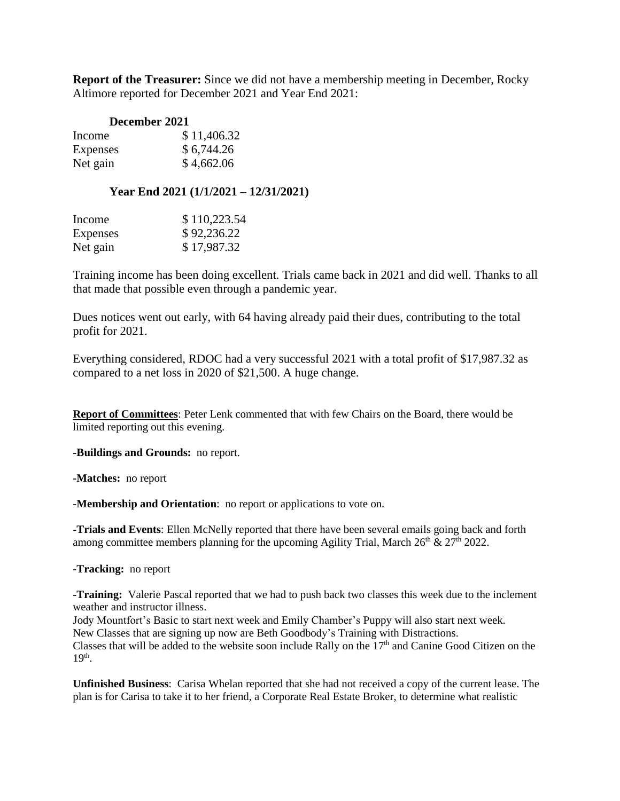**Report of the Treasurer:** Since we did not have a membership meeting in December, Rocky Altimore reported for December 2021 and Year End 2021:

| December 2021 |             |
|---------------|-------------|
| Income        | \$11,406.32 |
| Expenses      | \$6,744.26  |
| Net gain      | \$4,662.06  |

## **Year End 2021 (1/1/2021 – 12/31/2021)**

| Income   | \$110,223.54 |
|----------|--------------|
| Expenses | \$92,236.22  |
| Net gain | \$17,987.32  |

Training income has been doing excellent. Trials came back in 2021 and did well. Thanks to all that made that possible even through a pandemic year.

Dues notices went out early, with 64 having already paid their dues, contributing to the total profit for 2021.

Everything considered, RDOC had a very successful 2021 with a total profit of \$17,987.32 as compared to a net loss in 2020 of \$21,500. A huge change.

**Report of Committees**: Peter Lenk commented that with few Chairs on the Board, there would be limited reporting out this evening.

**-Buildings and Grounds:** no report.

**-Matches:** no report

**-Membership and Orientation**: no report or applications to vote on.

**-Trials and Events**: Ellen McNelly reported that there have been several emails going back and forth among committee members planning for the upcoming Agility Trial, March  $26<sup>th</sup>$  &  $27<sup>th</sup>$  2022.

**-Tracking:** no report

**-Training:** Valerie Pascal reported that we had to push back two classes this week due to the inclement weather and instructor illness.

Jody Mountfort's Basic to start next week and Emily Chamber's Puppy will also start next week. New Classes that are signing up now are Beth Goodbody's Training with Distractions. Classes that will be added to the website soon include Rally on the 17<sup>th</sup> and Canine Good Citizen on the 19<sup>th</sup>.

**Unfinished Business**: Carisa Whelan reported that she had not received a copy of the current lease. The plan is for Carisa to take it to her friend, a Corporate Real Estate Broker, to determine what realistic